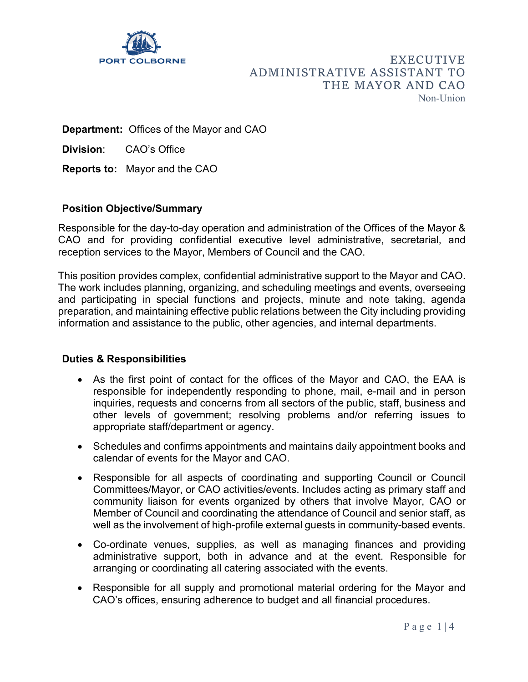

**Department:** Offices of the Mayor and CAO

**Division**: CAO's Office

**Reports to:** Mayor and the CAO

# **Position Objective/Summary**

Responsible for the day-to-day operation and administration of the Offices of the Mayor & CAO and for providing confidential executive level administrative, secretarial, and reception services to the Mayor, Members of Council and the CAO.

This position provides complex, confidential administrative support to the Mayor and CAO. The work includes planning, organizing, and scheduling meetings and events, overseeing and participating in special functions and projects, minute and note taking, agenda preparation, and maintaining effective public relations between the City including providing information and assistance to the public, other agencies, and internal departments.

#### **Duties & Responsibilities**

- As the first point of contact for the offices of the Mayor and CAO, the EAA is responsible for independently responding to phone, mail, e-mail and in person inquiries, requests and concerns from all sectors of the public, staff, business and other levels of government; resolving problems and/or referring issues to appropriate staff/department or agency.
- Schedules and confirms appointments and maintains daily appointment books and calendar of events for the Mayor and CAO.
- Responsible for all aspects of coordinating and supporting Council or Council Committees/Mayor, or CAO activities/events. Includes acting as primary staff and community liaison for events organized by others that involve Mayor, CAO or Member of Council and coordinating the attendance of Council and senior staff, as well as the involvement of high-profile external guests in community-based events.
- Co-ordinate venues, supplies, as well as managing finances and providing administrative support, both in advance and at the event. Responsible for arranging or coordinating all catering associated with the events.
- Responsible for all supply and promotional material ordering for the Mayor and CAO's offices, ensuring adherence to budget and all financial procedures.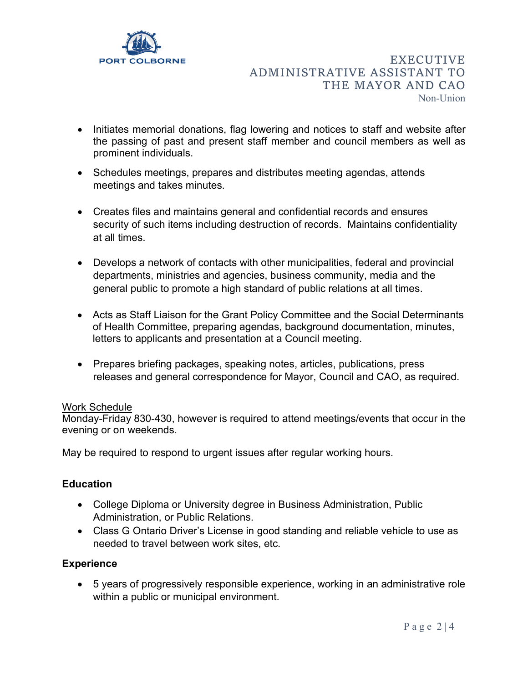

- Initiates memorial donations, flag lowering and notices to staff and website after the passing of past and present staff member and council members as well as prominent individuals.
- Schedules meetings, prepares and distributes meeting agendas, attends meetings and takes minutes.
- Creates files and maintains general and confidential records and ensures security of such items including destruction of records. Maintains confidentiality at all times.
- Develops a network of contacts with other municipalities, federal and provincial departments, ministries and agencies, business community, media and the general public to promote a high standard of public relations at all times.
- Acts as Staff Liaison for the Grant Policy Committee and the Social Determinants of Health Committee, preparing agendas, background documentation, minutes, letters to applicants and presentation at a Council meeting.
- Prepares briefing packages, speaking notes, articles, publications, press releases and general correspondence for Mayor, Council and CAO, as required.

#### Work Schedule

Monday-Friday 830-430, however is required to attend meetings/events that occur in the evening or on weekends.

May be required to respond to urgent issues after regular working hours.

#### **Education**

- College Diploma or University degree in Business Administration, Public Administration, or Public Relations.
- Class G Ontario Driver's License in good standing and reliable vehicle to use as needed to travel between work sites, etc.

#### **Experience**

• 5 years of progressively responsible experience, working in an administrative role within a public or municipal environment.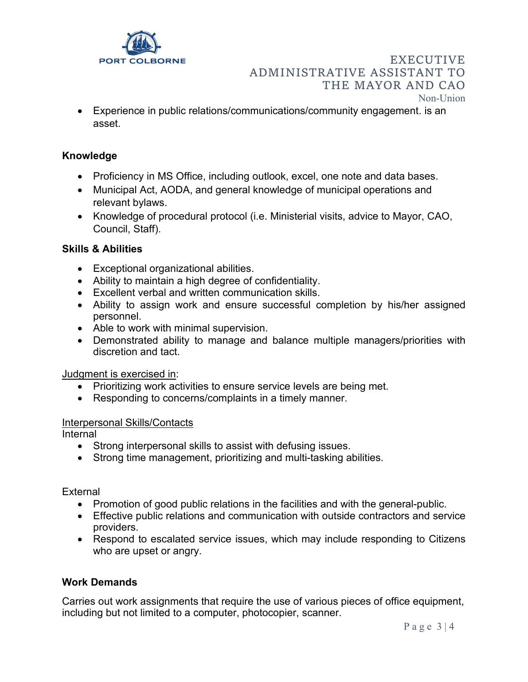

- 
- Experience in public relations/communications/community engagement. is an asset.

# **Knowledge**

- Proficiency in MS Office, including outlook, excel, one note and data bases.
- Municipal Act, AODA, and general knowledge of municipal operations and relevant bylaws.
- Knowledge of procedural protocol (i.e. Ministerial visits, advice to Mayor, CAO, Council, Staff).

# **Skills & Abilities**

- Exceptional organizational abilities.
- Ability to maintain a high degree of confidentiality.
- Excellent verbal and written communication skills.
- Ability to assign work and ensure successful completion by his/her assigned personnel.
- Able to work with minimal supervision.
- Demonstrated ability to manage and balance multiple managers/priorities with discretion and tact.

Judgment is exercised in:

- Prioritizing work activities to ensure service levels are being met.
- Responding to concerns/complaints in a timely manner.

#### Interpersonal Skills/Contacts

Internal

- Strong interpersonal skills to assist with defusing issues.
- Strong time management, prioritizing and multi-tasking abilities.

**External** 

- Promotion of good public relations in the facilities and with the general-public.
- Effective public relations and communication with outside contractors and service providers.
- Respond to escalated service issues, which may include responding to Citizens who are upset or angry.

# **Work Demands**

Carries out work assignments that require the use of various pieces of office equipment, including but not limited to a computer, photocopier, scanner.